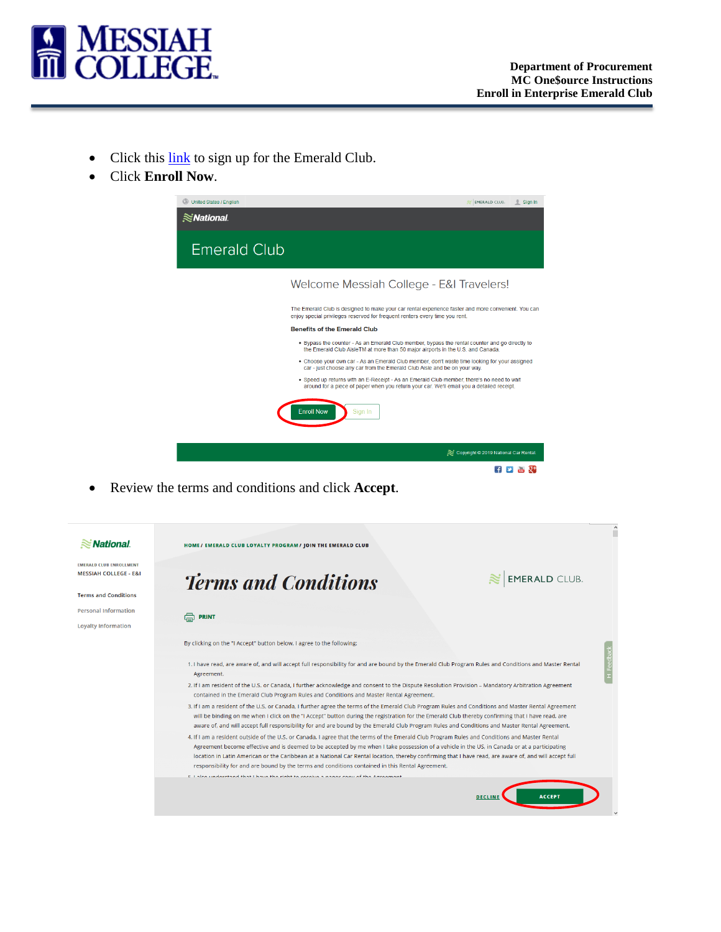

- Click this [link](https://www.nationalcar.com/offer/XZ57B73) to sign up for the Emerald Club.
- Click **Enroll Now**.



• Review the terms and conditions and click **Accept**.

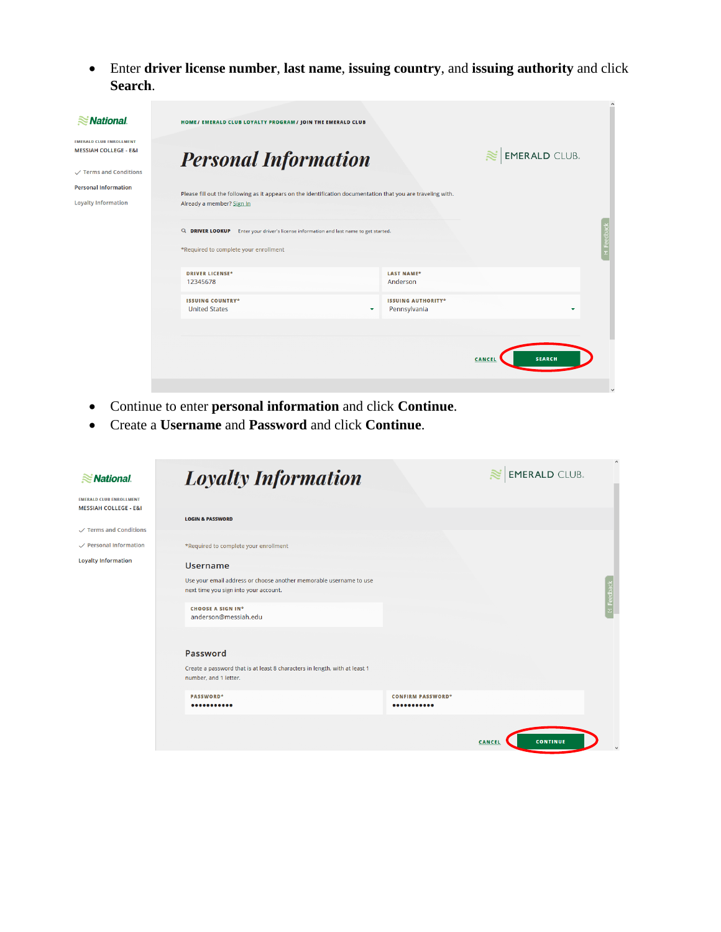• Enter **driver license number**, **last name**, **issuing country**, and **issuing authority** and click **Search**.

 $\overline{\phantom{a}}$ 

| $\approx$ National                                                 | HOME/ EMERALD CLUB LOYALTY PROGRAM/ JOIN THE EMERALD CLUB                                                    |                                           |  |  |
|--------------------------------------------------------------------|--------------------------------------------------------------------------------------------------------------|-------------------------------------------|--|--|
| <b>EMERALD CLUB ENROLLMENT</b><br><b>MESSIAH COLLEGE - E&amp;I</b> | <b>Personal Information</b>                                                                                  | <b>EMERALD CLUB.</b>                      |  |  |
| $\checkmark$ Terms and Conditions                                  |                                                                                                              |                                           |  |  |
| <b>Personal Information</b>                                        | Please fill out the following as it appears on the identification documentation that you are traveling with. |                                           |  |  |
| <b>Loyalty Information</b>                                         | Already a member? Sign In                                                                                    |                                           |  |  |
|                                                                    | Q DRIVER LOOKUP<br>Enter your driver's license information and last name to get started.                     | edba                                      |  |  |
|                                                                    | *Required to complete your enrollment                                                                        |                                           |  |  |
|                                                                    | <b>DRIVER LICENSE*</b>                                                                                       | <b>LAST NAME*</b>                         |  |  |
|                                                                    | Anderson<br>12345678                                                                                         |                                           |  |  |
|                                                                    | <b>ISSUING COUNTRY*</b><br><b>United States</b><br>$\checkmark$                                              | <b>ISSUING AUTHORITY*</b><br>Pennsylvania |  |  |
|                                                                    |                                                                                                              |                                           |  |  |
|                                                                    |                                                                                                              | <b>SEARCH</b><br>CANCEL                   |  |  |
|                                                                    |                                                                                                              | $\vee$                                    |  |  |

- Continue to enter **personal information** and click **Continue**.
- Create a **Username** and **Password** and click **Continue**.

| $\approx$ National                                                 | <b>Loyalty Information</b>                                                                                  |                              | $\approx$ EMERALD CLUB.   |            |
|--------------------------------------------------------------------|-------------------------------------------------------------------------------------------------------------|------------------------------|---------------------------|------------|
| <b>EMERALD CLUB ENROLLMENT</b><br><b>MESSIAH COLLEGE - E&amp;I</b> | <b>LOGIN &amp; PASSWORD</b>                                                                                 |                              |                           |            |
| $\checkmark$ Terms and Conditions                                  |                                                                                                             |                              |                           |            |
| $\checkmark$ Personal Information                                  | *Required to complete your enrollment                                                                       |                              |                           |            |
| <b>Loyalty Information</b>                                         | <b>Username</b>                                                                                             |                              |                           |            |
|                                                                    | Use your email address or choose another memorable username to use<br>next time you sign into your account. |                              |                           | H Feedback |
|                                                                    | <b>CHOOSE A SIGN IN*</b><br>anderson@messiah.edu                                                            |                              |                           |            |
|                                                                    | Password                                                                                                    |                              |                           |            |
|                                                                    | Create a password that is at least 8 characters in length, with at least 1<br>number, and 1 letter.         |                              |                           |            |
|                                                                    | PASSWORD*<br>                                                                                               | <b>CONFIRM PASSWORD*</b><br> |                           |            |
|                                                                    |                                                                                                             |                              | <b>CONTINUE</b><br>CANCEL |            |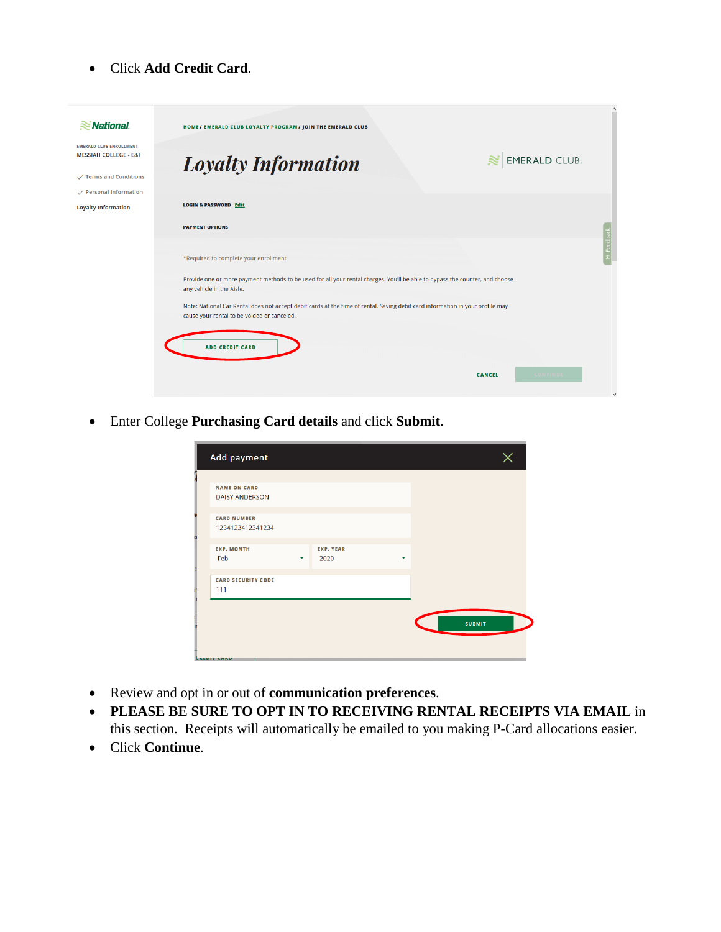• Click **Add Credit Card**.

| $\approx$ National.                                                | HOME/ EMERALD CLUB LOYALTY PROGRAM/ JOIN THE EMERALD CLUB                                                                                                                     |                |
|--------------------------------------------------------------------|-------------------------------------------------------------------------------------------------------------------------------------------------------------------------------|----------------|
| <b>EMERALD CLUB ENROLLMENT</b><br><b>MESSIAH COLLEGE - E&amp;I</b> | <b>EMERALD CLUB.</b><br><b>Loyalty Information</b>                                                                                                                            |                |
| $\checkmark$ Terms and Conditions                                  |                                                                                                                                                                               |                |
| $\checkmark$ Personal Information                                  |                                                                                                                                                                               |                |
| <b>Loyalty Information</b>                                         | <b>LOGIN &amp; PASSWORD Edit</b>                                                                                                                                              |                |
|                                                                    | <b>PAYMENT OPTIONS</b>                                                                                                                                                        |                |
|                                                                    | *Required to complete your enrollment                                                                                                                                         | -1 Feedbac     |
|                                                                    | Provide one or more payment methods to be used for all your rental charges. You'll be able to bypass the counter, and choose<br>any vehicle in the Aisle.                     |                |
|                                                                    | Note: National Car Rental does not accept debit cards at the time of rental. Saving debit card information in your profile may<br>cause your rental to be voided or canceled. |                |
|                                                                    | <b>ADD CREDIT CARD</b>                                                                                                                                                        |                |
|                                                                    | <b>CONTINUE</b><br>CANCEL                                                                                                                                                     |                |
|                                                                    |                                                                                                                                                                               | $\overline{a}$ |

• Enter College **Purchasing Card details** and click **Submit**.

|   | <b>Add payment</b>                           |   |                          |   |               |  |
|---|----------------------------------------------|---|--------------------------|---|---------------|--|
|   | <b>NAME ON CARD</b><br><b>DAISY ANDERSON</b> |   |                          |   |               |  |
|   | <b>CARD NUMBER</b><br>1234123412341234       |   |                          |   |               |  |
| n | <b>EXP. MONTH</b><br>Feb                     | ▼ | <b>EXP. YEAR</b><br>2020 | ▼ |               |  |
|   | <b>CARD SECURITY CODE</b><br>111             |   |                          |   |               |  |
|   |                                              |   |                          |   | <b>SUBMIT</b> |  |
|   | <b><i><u>CREDIT CARD</u></i></b>             |   |                          |   |               |  |

- Review and opt in or out of **communication preferences**.
- **PLEASE BE SURE TO OPT IN TO RECEIVING RENTAL RECEIPTS VIA EMAIL** in this section. Receipts will automatically be emailed to you making P-Card allocations easier.
- Click **Continue**.